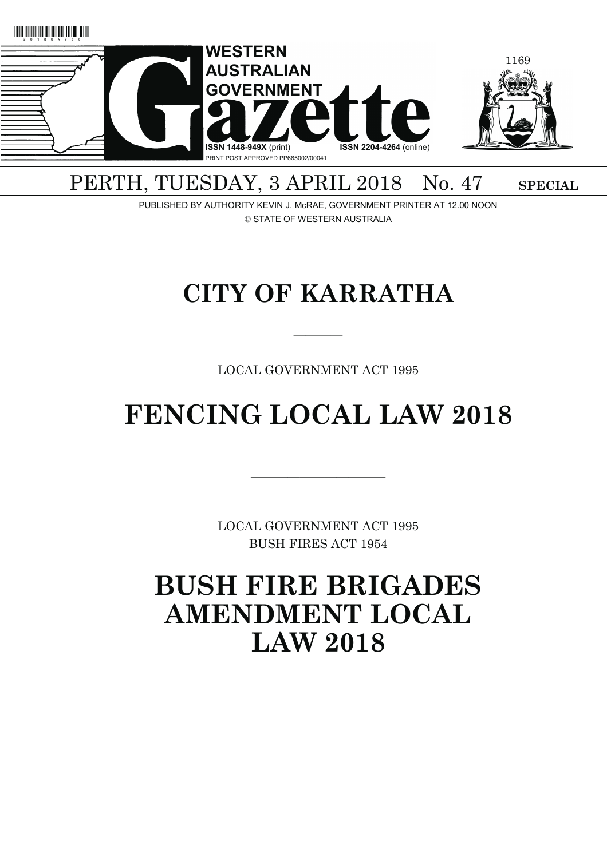

# PERTH, TUESDAY, 3 APRIL 2018 No. 47 SPECIAL

PUBLISHED BY AUTHORITY KEVIN J. McRAE, GOVERNMENT PRINTER AT 12.00 NOON © STATE OF WESTERN AUSTRALIA

# **CITY OF KARRATHA**

————

LOCAL GOVERNMENT ACT 1995

# **FENCING LOCAL LAW 2018**

LOCAL GOVERNMENT ACT 1995 BUSH FIRES ACT 1954

———————————

**BUSH FIRE BRIGADES AMENDMENT LOCAL LAW 2018**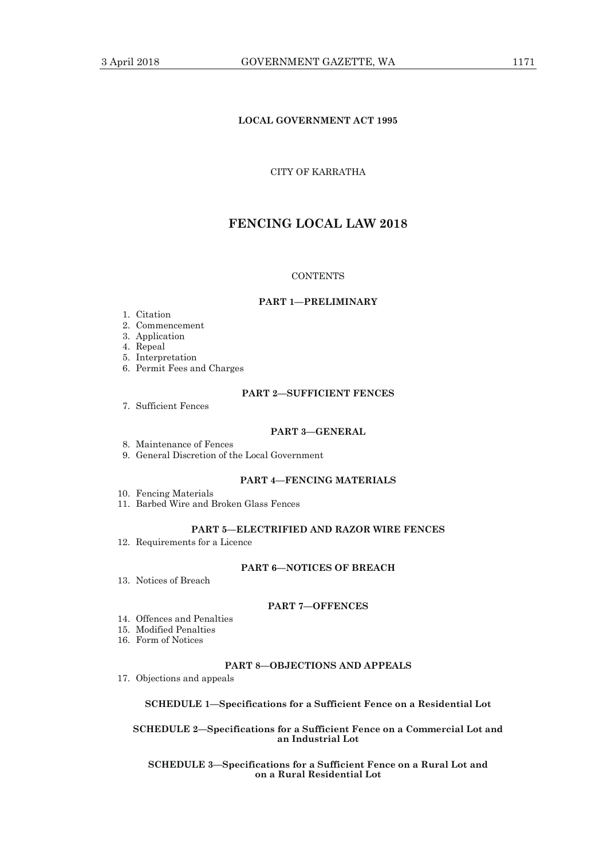# **LOCAL GOVERNMENT ACT 1995**

# CITY OF KARRATHA

# **FENCING LOCAL LAW 2018**

#### **CONTENTS**

# **PART 1—PRELIMINARY**

- 1. Citation
- 2. Commencement
- 3. Application
- 4. Repeal
- 5. Interpretation
- 6. Permit Fees and Charges

# **PART 2—SUFFICIENT FENCES**

7. Sufficient Fences

#### **PART 3—GENERAL**

- 8. Maintenance of Fences
- 9. General Discretion of the Local Government

# **PART 4—FENCING MATERIALS**

- 10. Fencing Materials
- 11. Barbed Wire and Broken Glass Fences

# **PART 5—ELECTRIFIED AND RAZOR WIRE FENCES**

12. Requirements for a Licence

# **PART 6—NOTICES OF BREACH**

13. Notices of Breach

#### **PART 7—OFFENCES**

- 14. Offences and Penalties
- 15. Modified Penalties
- 16. Form of Notices

# **PART 8—OBJECTIONS AND APPEALS**

17. Objections and appeals

# **SCHEDULE 1—Specifications for a Sufficient Fence on a Residential Lot**

# **SCHEDULE 2—Specifications for a Sufficient Fence on a Commercial Lot and an Industrial Lot**

#### **SCHEDULE 3—Specifications for a Sufficient Fence on a Rural Lot and on a Rural Residential Lot**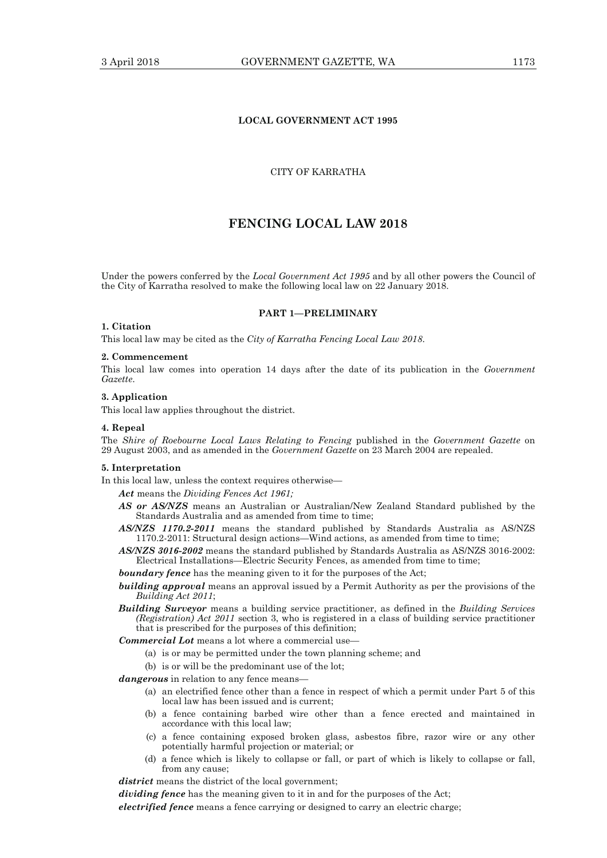# **LOCAL GOVERNMENT ACT 1995**

# CITY OF KARRATHA

# **FENCING LOCAL LAW 2018**

Under the powers conferred by the *Local Government Act 1995* and by all other powers the Council of the City of Karratha resolved to make the following local law on 22 January 2018.

#### **PART 1—PRELIMINARY**

#### **1. Citation**

This local law may be cited as the *City of Karratha Fencing Local Law 2018*.

#### **2. Commencement**

This local law comes into operation 14 days after the date of its publication in the *Government Gazette*.

# **3. Application**

This local law applies throughout the district.

# **4. Repeal**

The *Shire of Roebourne Local Laws Relating to Fencing* published in the *Government Gazette* on 29 August 2003, and as amended in the *Government Gazette* on 23 March 2004 are repealed.

#### **5. Interpretation**

In this local law, unless the context requires otherwise—

*Act* means the *Dividing Fences Act 1961;*

- *AS or AS/NZS* means an Australian or Australian/New Zealand Standard published by the Standards Australia and as amended from time to time;
- *AS/NZS 1170.2-2011* means the standard published by Standards Australia as AS/NZS 1170.2-2011: Structural design actions—Wind actions, as amended from time to time;
- *AS/NZS 3016-2002* means the standard published by Standards Australia as AS/NZS 3016-2002: Electrical Installations—Electric Security Fences, as amended from time to time;

*boundary fence* has the meaning given to it for the purposes of the Act;

- **building approval** means an approval issued by a Permit Authority as per the provisions of the *Building Act 2011*;
- *Building Surveyor* means a building service practitioner, as defined in the *Building Services (Registration) Act 2011* section 3, who is registered in a class of building service practitioner that is prescribed for the purposes of this definition;

*Commercial Lot* means a lot where a commercial use—

- (a) is or may be permitted under the town planning scheme; and
- (b) is or will be the predominant use of the lot;

*dangerous* in relation to any fence means—

- (a) an electrified fence other than a fence in respect of which a permit under Part 5 of this local law has been issued and is current;
- (b) a fence containing barbed wire other than a fence erected and maintained in accordance with this local law;
- (c) a fence containing exposed broken glass, asbestos fibre, razor wire or any other potentially harmful projection or material; or
- (d) a fence which is likely to collapse or fall, or part of which is likely to collapse or fall, from any cause;

*district* means the district of the local government;

*dividing fence* has the meaning given to it in and for the purposes of the Act;

*electrified fence* means a fence carrying or designed to carry an electric charge;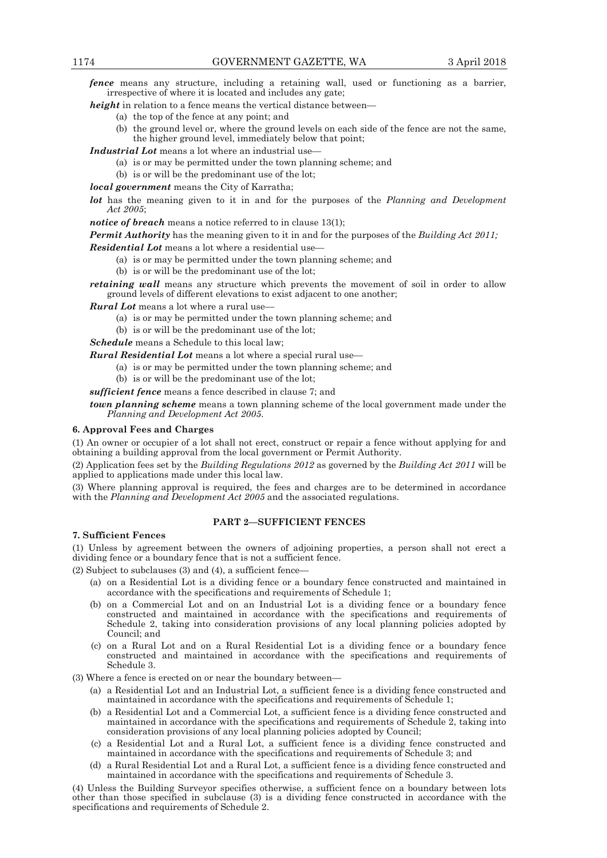*fence* means any structure, including a retaining wall, used or functioning as a barrier, irrespective of where it is located and includes any gate;

- *height* in relation to a fence means the vertical distance between—
	- (a) the top of the fence at any point; and
	- (b) the ground level or, where the ground levels on each side of the fence are not the same, the higher ground level, immediately below that point;

*Industrial Lot* means a lot where an industrial use—

- (a) is or may be permitted under the town planning scheme; and
- (b) is or will be the predominant use of the lot;

*local government* means the City of Karratha;

*lot* has the meaning given to it in and for the purposes of the *Planning and Development Act 2005*;

*notice of breach* means a notice referred to in clause 13(1);

*Permit Authority* has the meaning given to it in and for the purposes of the *Building Act 2011;*

*Residential Lot* means a lot where a residential use—

- (a) is or may be permitted under the town planning scheme; and
- (b) is or will be the predominant use of the lot;

*retaining wall* means any structure which prevents the movement of soil in order to allow ground levels of different elevations to exist adjacent to one another;

*Rural Lot* means a lot where a rural use—

- (a) is or may be permitted under the town planning scheme; and
- (b) is or will be the predominant use of the lot;

*Schedule* means a Schedule to this local law;

*Rural Residential Lot* means a lot where a special rural use—

- (a) is or may be permitted under the town planning scheme; and
- (b) is or will be the predominant use of the lot;

*sufficient fence* means a fence described in clause 7; and

*town planning scheme* means a town planning scheme of the local government made under the *Planning and Development Act 2005*.

#### **6. Approval Fees and Charges**

(1) An owner or occupier of a lot shall not erect, construct or repair a fence without applying for and obtaining a building approval from the local government or Permit Authority.

(2) Application fees set by the *Building Regulations 2012* as governed by the *Building Act 2011* will be applied to applications made under this local law.

(3) Where planning approval is required, the fees and charges are to be determined in accordance with the *Planning and Development Act 2005* and the associated regulations.

# **PART 2—SUFFICIENT FENCES**

# **7. Sufficient Fences**

(1) Unless by agreement between the owners of adjoining properties, a person shall not erect a dividing fence or a boundary fence that is not a sufficient fence.

 $(2)$  Subject to subclauses  $(3)$  and  $(4)$ , a sufficient fence-

- (a) on a Residential Lot is a dividing fence or a boundary fence constructed and maintained in accordance with the specifications and requirements of Schedule 1;
- (b) on a Commercial Lot and on an Industrial Lot is a dividing fence or a boundary fence constructed and maintained in accordance with the specifications and requirements of Schedule 2, taking into consideration provisions of any local planning policies adopted by Council; and
- (c) on a Rural Lot and on a Rural Residential Lot is a dividing fence or a boundary fence constructed and maintained in accordance with the specifications and requirements of Schedule 3.

(3) Where a fence is erected on or near the boundary between—

- (a) a Residential Lot and an Industrial Lot, a sufficient fence is a dividing fence constructed and maintained in accordance with the specifications and requirements of Schedule 1;
- (b) a Residential Lot and a Commercial Lot, a sufficient fence is a dividing fence constructed and maintained in accordance with the specifications and requirements of Schedule 2, taking into consideration provisions of any local planning policies adopted by Council;
- (c) a Residential Lot and a Rural Lot, a sufficient fence is a dividing fence constructed and maintained in accordance with the specifications and requirements of Schedule 3; and
- (d) a Rural Residential Lot and a Rural Lot, a sufficient fence is a dividing fence constructed and maintained in accordance with the specifications and requirements of Schedule 3.

(4) Unless the Building Surveyor specifies otherwise, a sufficient fence on a boundary between lots other than those specified in subclause (3) is a dividing fence constructed in accordance with the specifications and requirements of Schedule 2.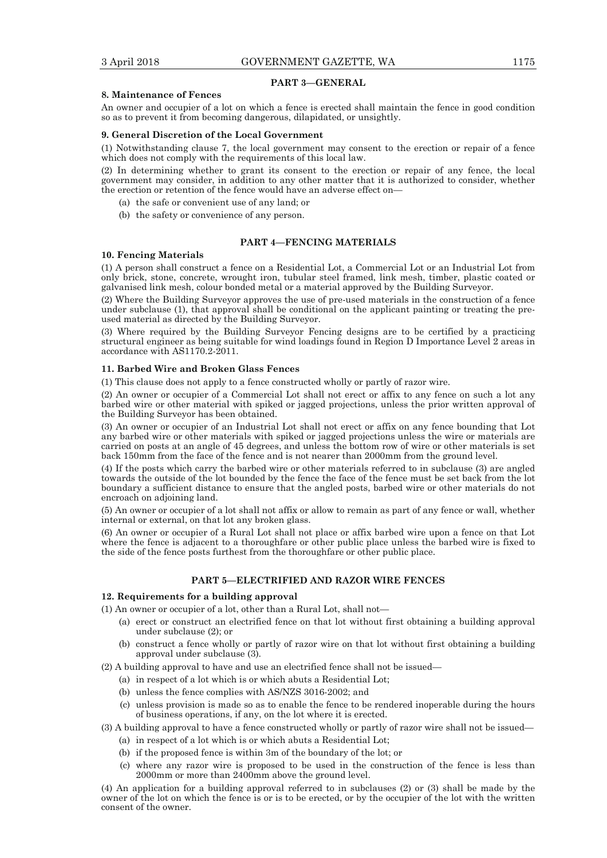#### **PART 3—GENERAL**

#### **8. Maintenance of Fences**

An owner and occupier of a lot on which a fence is erected shall maintain the fence in good condition so as to prevent it from becoming dangerous, dilapidated, or unsightly.

#### **9. General Discretion of the Local Government**

(1) Notwithstanding clause 7, the local government may consent to the erection or repair of a fence which does not comply with the requirements of this local law.

(2) In determining whether to grant its consent to the erection or repair of any fence, the local government may consider, in addition to any other matter that it is authorized to consider, whether the erection or retention of the fence would have an adverse effect on—

- (a) the safe or convenient use of any land; or
- (b) the safety or convenience of any person.

#### **PART 4—FENCING MATERIALS**

#### **10. Fencing Materials**

(1) A person shall construct a fence on a Residential Lot, a Commercial Lot or an Industrial Lot from only brick, stone, concrete, wrought iron, tubular steel framed, link mesh, timber, plastic coated or galvanised link mesh, colour bonded metal or a material approved by the Building Surveyor.

(2) Where the Building Surveyor approves the use of pre-used materials in the construction of a fence under subclause (1), that approval shall be conditional on the applicant painting or treating the preused material as directed by the Building Surveyor.

(3) Where required by the Building Surveyor Fencing designs are to be certified by a practicing structural engineer as being suitable for wind loadings found in Region D Importance Level 2 areas in accordance with AS1170.2-2011.

#### **11. Barbed Wire and Broken Glass Fences**

(1) This clause does not apply to a fence constructed wholly or partly of razor wire.

(2) An owner or occupier of a Commercial Lot shall not erect or affix to any fence on such a lot any barbed wire or other material with spiked or jagged projections, unless the prior written approval of the Building Surveyor has been obtained.

(3) An owner or occupier of an Industrial Lot shall not erect or affix on any fence bounding that Lot any barbed wire or other materials with spiked or jagged projections unless the wire or materials are carried on posts at an angle of 45 degrees, and unless the bottom row of wire or other materials is set back 150mm from the face of the fence and is not nearer than 2000mm from the ground level.

(4) If the posts which carry the barbed wire or other materials referred to in subclause (3) are angled towards the outside of the lot bounded by the fence the face of the fence must be set back from the lot boundary a sufficient distance to ensure that the angled posts, barbed wire or other materials do not encroach on adjoining land.

(5) An owner or occupier of a lot shall not affix or allow to remain as part of any fence or wall, whether internal or external, on that lot any broken glass.

(6) An owner or occupier of a Rural Lot shall not place or affix barbed wire upon a fence on that Lot where the fence is adjacent to a thoroughfare or other public place unless the barbed wire is fixed to the side of the fence posts furthest from the thoroughfare or other public place.

#### **PART 5—ELECTRIFIED AND RAZOR WIRE FENCES**

#### **12. Requirements for a building approval**

(1) An owner or occupier of a lot, other than a Rural Lot, shall not—

- (a) erect or construct an electrified fence on that lot without first obtaining a building approval under subclause (2); or
- (b) construct a fence wholly or partly of razor wire on that lot without first obtaining a building approval under subclause (3).

(2) A building approval to have and use an electrified fence shall not be issued—

- (a) in respect of a lot which is or which abuts a Residential Lot;
- (b) unless the fence complies with AS/NZS 3016-2002; and
- (c) unless provision is made so as to enable the fence to be rendered inoperable during the hours of business operations, if any, on the lot where it is erected.

(3) A building approval to have a fence constructed wholly or partly of razor wire shall not be issued—

- (a) in respect of a lot which is or which abuts a Residential Lot;
- (b) if the proposed fence is within 3m of the boundary of the lot; or
- (c) where any razor wire is proposed to be used in the construction of the fence is less than 2000mm or more than 2400mm above the ground level.

(4) An application for a building approval referred to in subclauses (2) or (3) shall be made by the owner of the lot on which the fence is or is to be erected, or by the occupier of the lot with the written consent of the owner.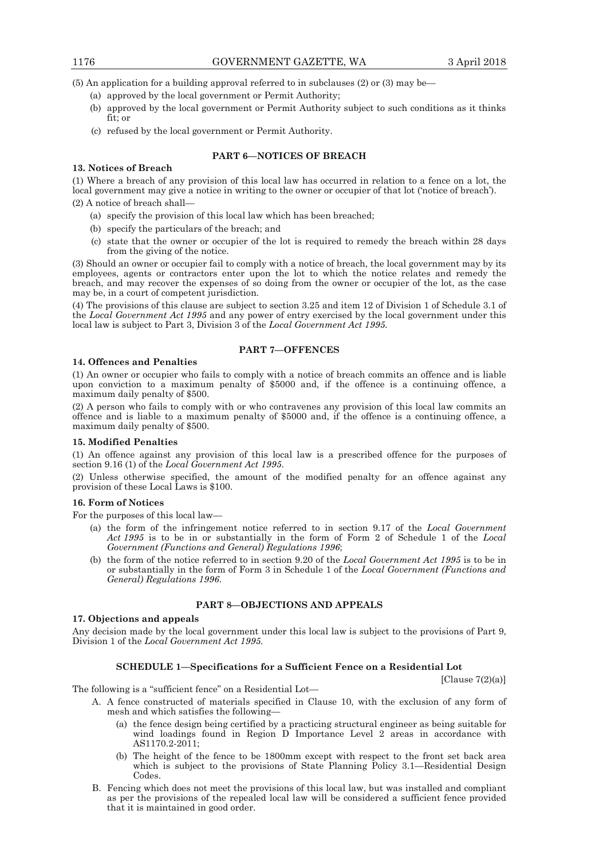(5) An application for a building approval referred to in subclauses (2) or (3) may be—

- (a) approved by the local government or Permit Authority;
- (b) approved by the local government or Permit Authority subject to such conditions as it thinks fit; or
- (c) refused by the local government or Permit Authority.

# **PART 6—NOTICES OF BREACH**

#### **13. Notices of Breach**

(1) Where a breach of any provision of this local law has occurred in relation to a fence on a lot, the local government may give a notice in writing to the owner or occupier of that lot ('notice of breach').

(2) A notice of breach shall—

- (a) specify the provision of this local law which has been breached;
- (b) specify the particulars of the breach; and
- (c) state that the owner or occupier of the lot is required to remedy the breach within 28 days from the giving of the notice.

(3) Should an owner or occupier fail to comply with a notice of breach, the local government may by its employees, agents or contractors enter upon the lot to which the notice relates and remedy the breach, and may recover the expenses of so doing from the owner or occupier of the lot, as the case may be, in a court of competent jurisdiction.

(4) The provisions of this clause are subject to section 3.25 and item 12 of Division 1 of Schedule 3.1 of the *Local Government Act 1995* and any power of entry exercised by the local government under this local law is subject to Part 3, Division 3 of the *Local Government Act 1995.* 

# **PART 7—OFFENCES**

#### **14. Offences and Penalties**

(1) An owner or occupier who fails to comply with a notice of breach commits an offence and is liable upon conviction to a maximum penalty of \$5000 and, if the offence is a continuing offence, a maximum daily penalty of \$500.

(2) A person who fails to comply with or who contravenes any provision of this local law commits an offence and is liable to a maximum penalty of \$5000 and, if the offence is a continuing offence, a maximum daily penalty of \$500.

# **15. Modified Penalties**

(1) An offence against any provision of this local law is a prescribed offence for the purposes of section 9.16 (1) of the *Local Government Act 1995*.

(2) Unless otherwise specified, the amount of the modified penalty for an offence against any provision of these Local Laws is \$100.

#### **16. Form of Notices**

For the purposes of this local law—

- (a) the form of the infringement notice referred to in section 9.17 of the *Local Government Act 1995* is to be in or substantially in the form of Form 2 of Schedule 1 of the *Local Government (Functions and General) Regulations 1996*;
- (b) the form of the notice referred to in section 9.20 of the *Local Government Act 1995* is to be in or substantially in the form of Form 3 in Schedule 1 of the *Local Government (Functions and General) Regulations 1996*.

# **PART 8—OBJECTIONS AND APPEALS**

# **17. Objections and appeals**

Any decision made by the local government under this local law is subject to the provisions of Part 9, Division 1 of the *Local Government Act 1995.* 

# **SCHEDULE 1—Specifications for a Sufficient Fence on a Residential Lot**

 $[Clause 7(2)(a)]$ 

The following is a "sufficient fence" on a Residential Lot—

- A. A fence constructed of materials specified in Clause 10, with the exclusion of any form of mesh and which satisfies the following—
	- (a) the fence design being certified by a practicing structural engineer as being suitable for wind loadings found in Region D Importance Level 2 areas in accordance with AS1170.2-2011;
	- (b) The height of the fence to be 1800mm except with respect to the front set back area which is subject to the provisions of State Planning Policy 3.1—Residential Design Codes.
- B. Fencing which does not meet the provisions of this local law, but was installed and compliant as per the provisions of the repealed local law will be considered a sufficient fence provided that it is maintained in good order.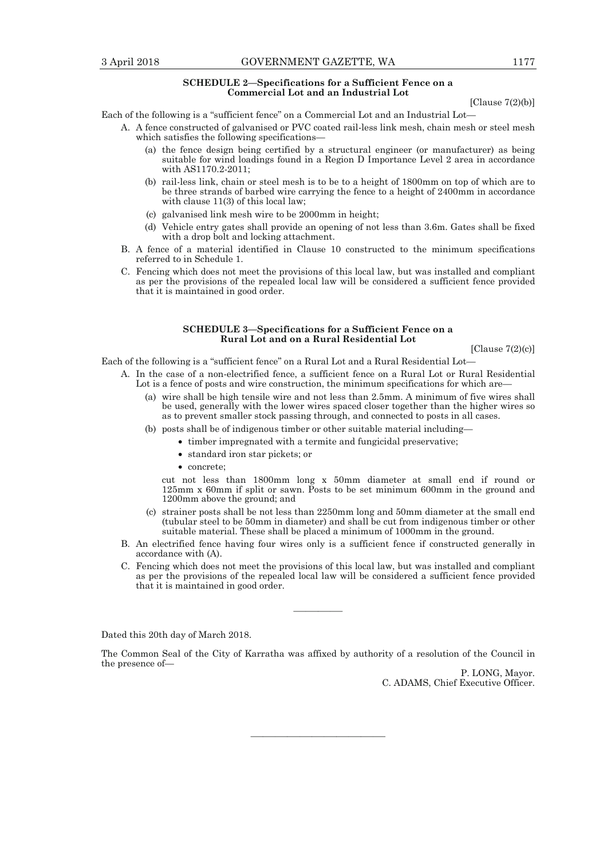#### **SCHEDULE 2—Specifications for a Sufficient Fence on a Commercial Lot and an Industrial Lot**

[Clause  $7(2)(b)$ ]

Each of the following is a "sufficient fence" on a Commercial Lot and an Industrial Lot—

- A. A fence constructed of galvanised or PVC coated rail-less link mesh, chain mesh or steel mesh which satisfies the following specifications—
	- (a) the fence design being certified by a structural engineer (or manufacturer) as being suitable for wind loadings found in a Region D Importance Level 2 area in accordance with AS1170.2-2011;
	- (b) rail-less link, chain or steel mesh is to be to a height of 1800mm on top of which are to be three strands of barbed wire carrying the fence to a height of 2400mm in accordance with clause  $11(3)$  of this local law;
	- (c) galvanised link mesh wire to be 2000mm in height;
	- (d) Vehicle entry gates shall provide an opening of not less than 3.6m. Gates shall be fixed with a drop bolt and locking attachment.
- B. A fence of a material identified in Clause 10 constructed to the minimum specifications referred to in Schedule 1.
- C. Fencing which does not meet the provisions of this local law, but was installed and compliant as per the provisions of the repealed local law will be considered a sufficient fence provided that it is maintained in good order.

#### **SCHEDULE 3—Specifications for a Sufficient Fence on a Rural Lot and on a Rural Residential Lot**

[Clause 7(2)(c)]

Each of the following is a "sufficient fence" on a Rural Lot and a Rural Residential Lot—

- A. In the case of a non-electrified fence, a sufficient fence on a Rural Lot or Rural Residential Lot is a fence of posts and wire construction, the minimum specifications for which are—
	- (a) wire shall be high tensile wire and not less than 2.5mm. A minimum of five wires shall be used, generally with the lower wires spaced closer together than the higher wires so as to prevent smaller stock passing through, and connected to posts in all cases.
	- (b) posts shall be of indigenous timber or other suitable material including—
		- timber impregnated with a termite and fungicidal preservative;
			- standard iron star pickets; or
			- concrete;

 cut not less than 1800mm long x 50mm diameter at small end if round or 125mm x 60mm if split or sawn. Posts to be set minimum 600mm in the ground and 1200mm above the ground; and

- (c) strainer posts shall be not less than 2250mm long and 50mm diameter at the small end (tubular steel to be 50mm in diameter) and shall be cut from indigenous timber or other suitable material. These shall be placed a minimum of 1000mm in the ground.
- B. An electrified fence having four wires only is a sufficient fence if constructed generally in accordance with (A).
- C. Fencing which does not meet the provisions of this local law, but was installed and compliant as per the provisions of the repealed local law will be considered a sufficient fence provided that it is maintained in good order.

Dated this 20th day of March 2018.

The Common Seal of the City of Karratha was affixed by authority of a resolution of the Council in the presence of—

———————————

————

P. LONG, Mayor. C. ADAMS, Chief Executive Officer.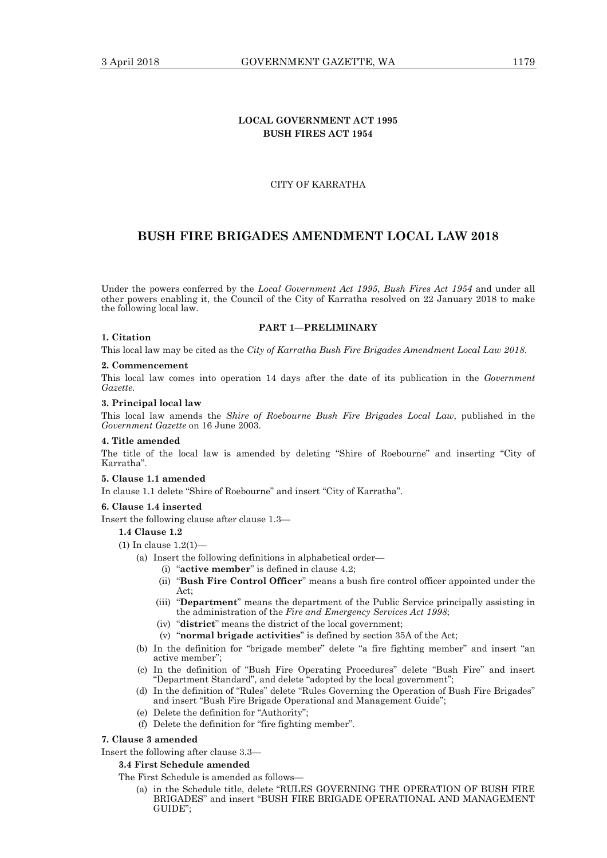# **LOCAL GOVERNMENT ACT 1995 BUSH FIRES ACT 1954**

# CITY OF KARRATHA

# **BUSH FIRE BRIGADES AMENDMENT LOCAL LAW 2018**

Under the powers conferred by the *Local Government Act 1995*, *Bush Fires Act 1954* and under all other powers enabling it, the Council of the City of Karratha resolved on 22 January 2018 to make the following local law.

#### **PART 1—PRELIMINARY**

#### **1. Citation**

This local law may be cited as the *City of Karratha Bush Fire Brigades Amendment Local Law 2018*.

#### **2. Commencement**

This local law comes into operation 14 days after the date of its publication in the *Government Gazette.* 

#### **3. Principal local law**

This local law amends the *Shire of Roebourne Bush Fire Brigades Local Law*, published in the *Government Gazette* on 16 June 2003.

#### **4. Title amended**

The title of the local law is amended by deleting "Shire of Roebourne" and inserting "City of Karratha".

#### **5. Clause 1.1 amended**

In clause 1.1 delete "Shire of Roebourne" and insert "City of Karratha".

#### **6. Clause 1.4 inserted**

Insert the following clause after clause 1.3—

# **1.4 Clause 1.2**

- (1) In clause 1.2(1)—
	- (a) Insert the following definitions in alphabetical order—
		- (i) "**active member**" is defined in clause 4.2;
		- (ii) "**Bush Fire Control Officer**" means a bush fire control officer appointed under the Act;
		- (iii) "**Department**" means the department of the Public Service principally assisting in the administration of the *Fire and Emergency Services Act 1998*;
		- (iv) "**district**" means the district of the local government;
		- (v) "**normal brigade activities**" is defined by section 35A of the Act;
	- (b) In the definition for "brigade member" delete "a fire fighting member" and insert "an active member";
- (c) In the definition of "Bush Fire Operating Procedures" delete "Bush Fire" and insert "Department Standard", and delete "adopted by the local government";
	- (d) In the definition of "Rules" delete "Rules Governing the Operation of Bush Fire Brigades" and insert "Bush Fire Brigade Operational and Management Guide";
	- (e) Delete the definition for "Authority";
	- (f) Delete the definition for "fire fighting member".

#### **7. Clause 3 amended**

Insert the following after clause 3.3—

# **3.4 First Schedule amended**

The First Schedule is amended as follows—

 (a) in the Schedule title, delete "RULES GOVERNING THE OPERATION OF BUSH FIRE BRIGADES" and insert "BUSH FIRE BRIGADE OPERATIONAL AND MANAGEMENT GUIDE";